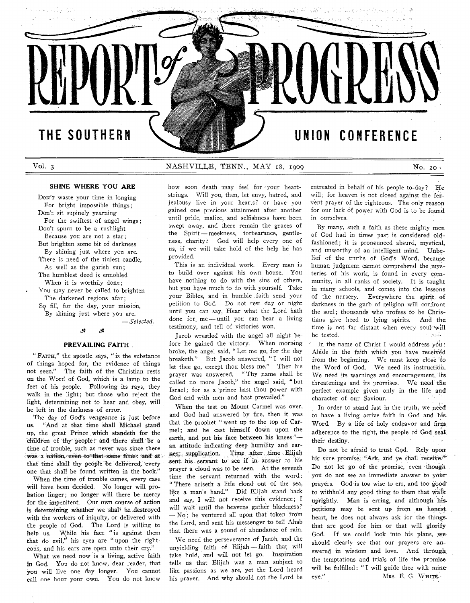# $\varphi(x) = \varphi(x) + \varphi(x) \varphi(x) = \bigoplus_{i=1}^{n} \varphi(x)$ skal to Aki - 자유트 Service. THE SOUTHERN UNION CONFERENCE

## **Vol. 3** NASHVILLE, TENN., MAY 18, 1909 No. 2011

#### **SHINE WHERE YOU ARE**

Don't waste your time in longing For bright impossible things; Don't sit supinely yearning For the swiftest of angel wings; Don't spurn to be a rushlight Because you are not a star; But brighten some bit of darkness By shining just where you are. There is need of the tiniest candle. As well as the garish sun; The humblest deed is ennobled When it is worthily done; You may never be called to brighten The darkened regions afar; So fill, for the day, your mission,

By shining just where you are.

— *Selected.*

#### ر.<br>تار **پ**ر

#### **PREVAILING FAITH**

" FAITH," the apostle says, " is the substance of things hoped for, the evidence of things not seen." The faith of the Christian rests on the Word of God, which is a lamp to the feet of his people. Following its rays, they walk in the light; but those who reject the light, determining not to hear and obey, will be left in the darkness of error.

The day of God's vengeance is just before us. "And at that time shall Michael stand up, the great Prince which standeth for the children of thy people: and there shall be a time of trouble, such as never was since there was a nation, even to that same time: and at that time shall thy people be delivered, every one that shall be found written in the book.'

When the time of trouble comes, every case will have been decided. No longer will probation linger; no longer will there be mercy for the impenitent. Our own course of action is determining whether we shall be destroyed with the workers of iniquity, or delivered with the people of God. The Lord is willing to help us. While his face "is against them that do evil,<sup> $h$ </sup> his eyes are " upon the righteous, and his ears are open unto their cry."

What we need now is a living, active faith in God. You do not know, dear reader, that you will live one day longer. You cannot call one hour your own. You do not know

how soon death may feel for your heartstrings. Will you, then, let envy, hatred, and jealousy live in your hearts? or have you gained one precious attainment after another until pride, malice, and selfishness have been swept away, and there remain the graces of the Spirit — meekness, forbearance, gentleness, charity? God will help every one of us, if we will take hold of the help he has provided.

This is an individual work. Every man is to build over against his own house. You have nothing to do with the sins of others, but you have much to do with yourself. Take your Bibles, and in humble faith send your petition to God. Do not rest day or night until you can say, Hear what the Lord hath done for. me — until you can bear a living testimony, and tell of victories won.

Jacob wrestled with the angel all night before he gained the victory. When morning broke, the angel said, "Let me go, for the day breaketh." But Jacob answered, "I will not let thee go, except thou bless me." Then his prayer was answered. "Thy name shall be called no more Jacob," the angel said, "but Israel; for as a prince hast thou power with God and with men and hast prevailed."

When the test on Mount Carmel was over, and God had answered by fire, then it was that the prophet " went up to the top of Carmel; and he cast himself down upon the earth, and put his face between his knees"an attitude indicating deep humility and earnest. supplication. Time after time Elijah sent his servant to see if in answer to his prayer a cloud was to be seen. At the seventh time the servant returned with the word: " There ariseth a litle cloud out of the sea, like a man's hand." Did Elijah stand back and say, I will not receive this evidence; I will wait until the heavens gather blackness?  $-$  No; he ventured all upon that token from the Lord, and sent his messenger to tell Ahab that there was a sound of abundance of rain.

We need the perseverance of Jacob, and the unvielding faith of Elijah - faith that will take hold, and will not let go. Inspiration tells us that Elijah was a man subject to like passions as we are, yet the Lord heard his prayer. And why should not the Lord be entreated in behalf of his people to-day? He will; for heaven is not closed against the fervent prayer of the righteous. The only reason for our lack of power with God is to be found in ourselves.

By many, such a faith as these mighty men of God had in times past is considered oldfashioned; it is pronounced absurd, mystical, and unworthy of an intelligent mind. Unbelief of the truths of God's Word, because human judgment cannot comprehend the mysteries of his work, is found in every community, in all ranks of society. It is taught in many schools, and comes into the lessons of the nursery. Everywhere the spirit, of darkness in the garb of religion will confront the soul; thousands who profess to be Christians give heed to lying spirits. And the time is not far distant when every soul 'will be tested. :  $\mathbb{R}^n$  and  $\mathbb{R}^n$  and  $\mathbb{R}^n$  and  $\mathbb{R}^n$  and  $\mathbb{R}^n$  and  $\mathbb{R}^n$  and  $\mathbb{R}^n$  and  $\mathbb{R}^n$  and  $\mathbb{R}^n$  and  $\mathbb{R}^n$  and  $\mathbb{R}^n$  and  $\mathbb{R}^n$  and  $\mathbb{R}^n$  and  $\mathbb{R}^n$  and

In the name of Christ I would address you : Abide in the faith which you have received from the beginning. We must keep close to the Word of God. We need its instruction. We need its warnings and encouragement, its threatenings and its promises. We need the perfect example given only in the life and character of our Saviour.

In order to stand fast in the truth, we need: to have a living active faith in God and his-Word. By a life of holy endeavor and firmadherence to the right, the people of God seal their destiny.

Do not be afraid to trust God. Rely upon his sure promise, "Ask, and ye shall receive." Do not let go of the promise, even though you do not see an immediate answer to your prayers. God is too wise to err, and too good to withhold any good thing to them that walk uprightly. Man is erring, and although hispetitions may be sent up from an honest. heart, he does not always ask for the thingsthat are good for him or that will glorify God. If we could look into his plans, we should clearly see that our prayers are answered in wisdom and love. And through the temptations and trials of life the promise will be fulfilled: "I will guide thee with mineeye." Mrs. E. G. WHITE.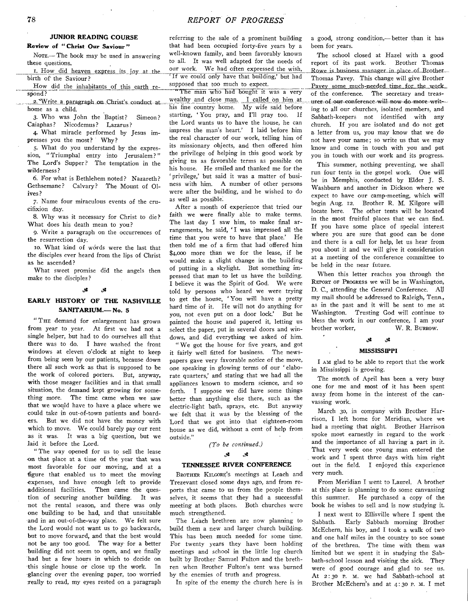### **JUNIOR READING COURSE**

**Review of** *"* **Christ Our Saviour "**

NOTE.- The book may be used in answering these questions.

I. How did heaven express its joy at the birth of the Saviour?

How did the inhabitants of this earth respond?

2. Write a paragraph on Christ's conduct-athome as a child.

3. Who was John the Baptist? Simeon? Caiaphas? Nicodemus? Lazarus?

4. What miracle performed by Jesus impresses you the most? Why?

5. What do you understand by the expression, "Triumphal entry into Jerusalem?" The Lord's Supper? The temptation in the wilderness?

6. For what is Bethlehem noted? Nazareth? Gethsemane? Calvary? The Mount of Olives?

7. Name four miraculous events of the crucifixion day.

8. Why was it necessary for Christ to die? What does his death mean to you?

9. Write a paragraph on the occurrences of the resurrection day.

10. What kind of words were the last that the disciples ever heard from the lips of Christ as he ascended?

What sweet promise did the angels then make to the disciples?

### EARLY HISTORY OF THE NASHVILLE **SANITARIUM.— No. 5**

" THE demand for enlargement has grown from year to year. At first we had not a single helper, but had to do ourselves all that there was to do. I have washed the front windows at eleven o'clock at night to keep from being seen by our patients, because down there all such work as that is supposed to be the work of colored porters. But, anyway, with those meager facilities and in that small situation, the demand kept growing for something more. The time came when we saw that we would have to have a place where we could take in out-of-town patients and boarders. But we did not have the money with which to move. We could barely pay our rent as it was. It was a big question, but we laid it before the Lord.

" The way opened for us to sell the lease on that place at a time of the year that was most favorable for our moving, and at a figure that enabled us to meet the moving expenses, and have enough left to provide additional facilities. Then came the question of securing another building. It was not the rental season, and there was only one building to be had, and that unsuitable and in an out-of-the-way place. We felt sure the Lord would not want us to go backwards, but to move forward, and that the best would not be any too good. The way for a better building did not seem to open, and we finally had but a few hours in which to decide on this single house or close up the work. In glancing over the evening paper, too worried really to read, my eyes rested on a paragraph

referring to the sale of a prominent building that had been occupied forty-five years by a well-known family, and been favorably known to all. It was well adapted for the needs of our work. We had often expressed the wish, If we could only have that building,' but had supposed that too much to expect.

" The man who had bought it was a very wealthy and close man. I called on him at his fine country home. My wife said before starting, 'You pray, and I'll pray too. If the Lord wants us to have the house, he can im press the man's heart.' I laid before him the real character of our work, telling him of its missionary objects, and then offered him the privilege of helping in this good work by giving us as favorable terms as possible on his house. He smiled and thanked me for the ' privilege,' but said it was a matter of business with him. A number of other persons were after the building, and he wished to do as well as possible.

After a month of experience that tried our faith we were finally able to make terms. The last day I saw him, to make final arrangements, he said, 'I was impressed all the time that you were to have that place.' He then told me of a firm that had offered him \$4,000 more than we for the lease, if he would make a slight change in the building of putting in a skylight. But something impressed that man to let us have the building. I believe it was the Spirit of God. We were told by persons who heard we were trying to get the house, 'You will have a pretty hard time of it. He will not do anything for you, not even put on a door lock.' But he painted the house and papered it, letting us select the paper, put in several doors and windows, and did everything we asked of him.

" We got the house for five years, and got it fairly well fitted for business. The newspapers gave very favorable notice of the move, one speaking in glowing terms of our 'elaborate quarters,' and stating that we had all the appliances known to modern science, and so forth. I suppose we did have some things better than anything else there, such as the electric-light bath, sprays, etc. But anyway we felt that it was by the blessing of the Lord that we got into that eighteen-room house as we did, without a cent of help from outside."

#### *(T o be continued.)*

#### *£*  $\mathcal{S}% _{0}=\mathcal{S}_{\mathrm{CL}}$

#### **TENNESSEE RIVER CONFERENCE**

BROTHER KILGORE'S meetings at Leach and Trezevant closed some days ago, and from reports that came to us from the people themselves, it seems that they had a successful meeting at both places. Both churches were much strengthened.

The Leach brethren are now planning to build them a new and larger church building. This has been much needed for some time. For twenty years they have been holding meetings and school in the little log church built by Brother Samuel Fulton and the brethren when Brother Fulton's tent was burned by the enemies of truth and progress.

In spite of the enemy the church here is in

a good, strong condition,— better than it has been for years.

The school closed at Hazel with a good report of its past work. Brother Thomas Rowe is business manager in place of Brother Thomas Pavey. This change will give Brother Pavey some much-needed time for the work of the conference. The secretary and treasurer of our conference will now do more writing to all our churches, isolated members, and Sabbath-keepers not identified with any church. If you are isolated and do not get a letter from us, you may know that we do not have your name; so write us that we may know and come in touch with you and put you in touch with our work and its progress.

This summer, nothing preventing, we shall run four tents in the gospel work. One will be in Memphis, conducted by Elder J. S. Washburn and another in Dickson where we expect to have our camp-meeting, which will begin Aug. 12. Brother R. M. Kilgore will locate here. The other tents will be located in the most fruitful places that we can find. If you have some place of special interest where you are sure that good can be done and there is a call for help, let us hear from you about it and we will give it consideration at a meeting of the conference committee to be held- in the near future.

When this letter reaches you through the REPORT OF PROGRESS we will be in Washington, D. C., attending the General Conference. All my mail should be addressed to Raleigh, Tenn., as in the past and it will be sent to me at Washington. Trusting God will continue to bless the work in our conference. I am your brother worker, W. R. BURROW.

# *<£ <£*

#### **MISSISSIPPI**

I AM glad to be able to report that the work in Mississippi is growing.

The month of April has been a very busy one for me and most of it has been spent away from home in the interest of the canvassing work.

March 30, in company with Brother Harrison, I left home for Meridian, where we had a meeting that night. Brother Harrison spoke most earnestly in regard to the work and the importance of all having a part in it. That very week one young man entered the work and I spent three days with him right out in the field. I enjoyed this experience very much.

From Meridian I went to Laurel. A brother at this place is planning to do some canvassing this summer. He purchased a copy of the book he wishes to sell and is now studying it.

I next went to Ellisville where I spent the Sabbath. Early Sabbath morning Brother McEchern, his boy, and I took a walk of two and one half miles in the country to see some of the brethren. The time with them was limited but we spent it in studying the Sabbath-school lesson and visiting the sick. They were of good courage and glad to see us. At 2:30 P. M. we had Sabbath-school at Brother McEchern's and at 4:30 p. M. I met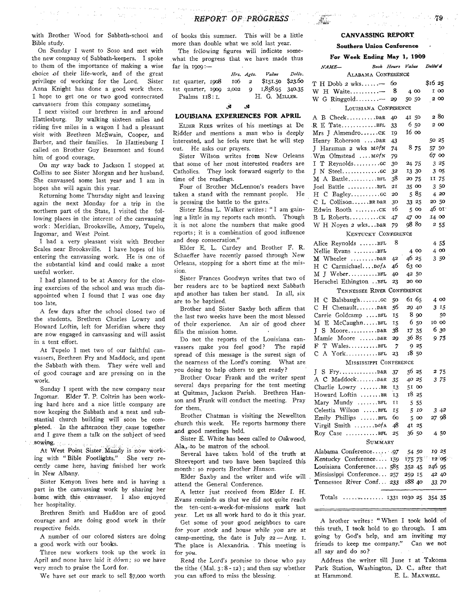### *REPORT OF PROGRESS*

with Brother Wood for Sabbath-school and Bible study.

On Sunday I went to Soso and met with the new company of Sabbath-keepers. I spoke to them of the importance of making a wise choice of their life-work, and of the great privilege of working for the Lord. Sister Anna Knight has done a good work there. I hope to get one or two good consecrated canvassers from this company sometime.

I next visited our brethren in and around Hattiesburg. By walking sixteen miles and riding five miles in a wagon I had a pleasant visit with Brethren McSwain, Cooper, and Barber, and their families. In Hattiesburg I called on Brother Guy Beaumont and found him of good courage.

On my way back to Jackson I stopped at Collins to see Sister Morgan and her husband. She canvassed some last year and I am in hopes she will again this year.

Returning home Thursday night and leaving again the next Monday for a trip in the northern part of the State, I visited the following places in the interest of the canvassing work : Meridian, Brooksville, Amory, Tupelo, Ingomar, and West Point.

I had a very pleasant visit with Brother Scales near Brooksville. I have hopes of his entering the canvassing work. He is one of the substantial kind and could make a most useful worker.

I had planned to be at Amory for the closing exercises of the school and was much disappointed when I found that I was one day too late.

A few days after the school closed two of the students, Brethren Charles Lowry and Howard Loftin, left for Meridian where they are now engaged in canvassing and will assist in a tent effort.

At Tupelo I met two of our faithful canvassers, Brethren Fry and Maddock, and spent the Sabbath with them. They were well and of good courage and are pressing on in the w ork.

Sunday I spent with the new company near Ingomar. Elder T. P. Coltrin has been working hard here and a nice little company are now keeping the Sabbath and a neat and substantial church building will soon be completed. In the afternoon they came together and I gave them a talk on the subject of seed sowing.

At West Point Sister Mundy is now working with "Bible Footlights." She very recently came here, having finished her work in New Albany.

Sister Kenyon lives here and is having a part in the canvassing work by sharing her home with this canvasser. I also enjoyed her hospitality.

Brethren Smith and Haddon are of good courage and are doing good work in their respective fields.

A number of our colored sisters are doing a good work with our books.

Three new workers took up the work in April and none have laid it down; so we have very much to praise the Lord for.

We have set our mark to sell \$7,000 worth

of books this summer. This will be a little more than double what we sold last year.

The following figures will indicate somewhat the progress that we have made thus far in 1909:—

*Hrs. Agts. Value Déliv.*<br>106 2 \$151.50 \$23.60 1st quarter, 1908 106 2 \$151.50 \$23.60<br>1st quarter, 1000 2.002 9 1.858.95 340.35 1st quarter,  $1909$   $2,002$  9 Psalms 118:1. H. G. MILLER.

#### چي . St

#### **LOUISIANA EXPERIENCES FOR APRIL**

ELDER REES writes of his meetings at De Ridder and mentions a man who is deeply interested, and he feels sure that he will step out. He asks our prayers.

Sister Wilson writes from New Orleans that some of her most interested readers are Catholics. They look forward eagerly to the time of the readings.

Four of Brother McLennon's readers have taken a stand with the remnant people. He is pressing the battle to the gates.

Sister Edna L. Walker writes: "I am gaining a little in my reports each month. Though it is not alone the numbers that make good reports; it is a combination of good influence and deep consecration."

Elder E. L. Cardey and Brother F. R. Schaeffer have recently passed through New Orleans, stopping for a short time at the mission.

Sister Frances Goodwyn writes that two of her readers are to be baptized next Sabbath and another has taken her stand. In all, six are to be baptized.

Brother and Sister Saxby both affirm that the last two weeks have been the most blessed of their experience. An air of good cheer fills the mission home.

Do not the reports of the Louisiana canvassers make you feel good? The rapid spread of this message is the surest sign of the nearness of the Lord's coming. What are you doing to help others to get ready?

Brother Oscar Frank and the writer spent several days preparing for the tent meeting at Quitman, Jackson Parish. Brethren Hanson and Frank will conduct the meeting. Pray for them.

Brother Chatman is visiting the Newellton church this week. He reports harmony there and good meetings held.

Sister E. White has been called to Oakwood, Ala., to be matron of the school.

Several have taken hold of the truth at Shreveport and two have been baptized this month : so reports Brother *Hanson*.

Elder Saxby and the writer and wife will attend the General Conference.

A letter just received from Elder I. H. Evans reminds us that we did not quite reach the ten-cent-a-week-for-missions mark last year. Let us all work hard to do it this year.

Get some of your good neighbors to care for your stock and house while you are at camp-meeting, the date is July  $22 - \text{Aug. }$  1. The place is Alexandria. This meeting is for *you*.

Read the Lord's promise to those who pay the tithe  $(Mal. 3:8-12)$ ; and then say whether you can afford to miss the blessing.

### **CANVASSING REPORT**

#### **Southern Union Conference**

**For W eek Ending May 1, 1909**

| <i>NAME</i> —                             | Book Hours Value |    |                |                | Deliv' d      |             |  |
|-------------------------------------------|------------------|----|----------------|----------------|---------------|-------------|--|
| ALABAMA CONFERENCE                        |                  |    |                |                |               |             |  |
| $T$ H Dobb 2 wks                          |                  | 60 |                |                | \$16 25       |             |  |
| W H Waite-                                |                  | -8 | 4 0 0          |                | I 00          |             |  |
| W G Ringgold                              |                  | 29 | 50 50          |                | 2 0 0         |             |  |
| LOUISIANA CONFERENCE                      |                  |    |                |                |               |             |  |
| A B Cheek D&R                             |                  | 40 | 41 50          |                | 280           |             |  |
| R E TateBEL                               |                  | 33 | 650            |                | 200           |             |  |
| Mrs J AlmendroCK                          |                  | 19 | 16 00          |                |               |             |  |
| Henry Roberson D&R                        |                  | 43 |                |                | 50 25         |             |  |
| J Harzman 2 wks MofN                      |                  | 74 |                | 8 75           | 5750          |             |  |
| Wm Olmstead  MofN                         |                  | 79 |                |                | 6700          |             |  |
| I T Reynoldscc                            |                  | 30 | 24 75          |                |               | 325         |  |
|                                           |                  | 32 | 13 30          |                |               | 3 05        |  |
| M A BattleBFL                             |                  | 38 | 20 75          |                | 11 75         |             |  |
| Joel Battle BFL                           |                  | 21 | 35 00          |                |               | 3 50        |  |
|                                           |                  | 20 |                | 585            |               | 420         |  |
| C L CollisonBRD&R                         |                  | 30 | 33 25          |                | 20 50         |             |  |
| Edwin Booth CK                            |                  | 16 |                | 500            | 46 ог         |             |  |
| B L RobertsCK                             |                  | 47 | 47 00<br>98 80 |                | 14 00         |             |  |
| W H Noyes 2 wksD&R<br>KENTUCKY CONFERENCE |                  | 79 |                |                |               | 2 55        |  |
|                                           |                  | 8  |                |                |               |             |  |
| Alice Reynolds BFL                        |                  |    |                |                |               | 455         |  |
| Nellie Evans BFL                          |                  | 42 | 46 25          | 4 00           |               | 4 00<br>350 |  |
| $M$ Wheeler $D &R$<br>H C Carmichael DofA |                  | 46 | 63 00          |                |               |             |  |
| M J WeberBFL                              |                  | 40 | 42 50          |                |               |             |  |
| Herschel Ethington . BFL                  |                  | 23 | 20 OO          |                |               |             |  |
| TENNESSEE RIVER CONFERENCE                |                  |    |                |                |               |             |  |
|                                           |                  | 50 | 61 б5          |                |               | 4 00        |  |
| C H Chenault D&R                          |                  | 56 | 29 40          |                |               | 3 15        |  |
| Carrie Goldcamp BFL                       |                  | 15 |                | 8 90           |               | 50          |  |
| M E McCaughnBFL                           |                  | 15 |                | 6 50           | 10 00         |             |  |
|                                           |                  | 38 | 17 35          |                |               | 630         |  |
| Mamie Moore D&R                           |                  | 29 | 36 85          |                |               | 975         |  |
| WalesBFL<br>F T                           |                  | 7  |                | 9 25           |               |             |  |
| A YorkBFL<br>С                            |                  | 23 | 1850           |                |               |             |  |
| MISSISSIPPI CONFERENCE                    |                  |    |                |                |               |             |  |
|                                           |                  | 37 | 56 25          |                |               | 275         |  |
| A C MaddockD&R                            |                  | 35 | 40 25          |                |               | 3 75        |  |
| Charlie Lowry BR                          |                  | 13 | 51 00          |                |               |             |  |
| Howard Loftin BR                          |                  | 13 |                | 1825           |               |             |  |
| Mary Mundy BFL                            |                  | 11 |                | 5 5 5          |               |             |  |
| Celestia Wilson BFL                       |                  | 15 |                | 5 10           |               | $3\;42$     |  |
| $Emily$ Phillips $\ldots$ $BFL$           |                  | 60 |                | 500            |               | 2798        |  |
| Virgil Smith  DofA                        |                  | 48 |                | 41 25<br>36 50 |               |             |  |
| Roy Case BFL                              |                  | 25 |                |                |               | 450         |  |
| SUMMARY<br>19 25<br>54 50                 |                  |    |                |                |               |             |  |
| Kentucky Conference 159                   |                  |    |                |                | 175 75 12 05  |             |  |
| Louisiana Conference 585                  |                  |    |                |                | 352 45 246 95 |             |  |
| Mississippi Conference 257                |                  |    |                |                | 259 15 42 40  |             |  |
| Tennessee River Conf 233 188 40           |                  |    |                |                |               | 33.70       |  |
| Totals<br>$ \dots 1331 1030 25 354 35$    |                  |    |                |                |               |             |  |
|                                           |                  |    |                |                |               |             |  |

A brother writes: "When I took hold of this truth, I took hold to go through. I am going by God's help, and am inviting my friends to keep me company." Can we not all say and do so?

Address the writer till June I at Takoma Park Station, Washington, D. C., after that at Hammond. E. L. MAXWELL.